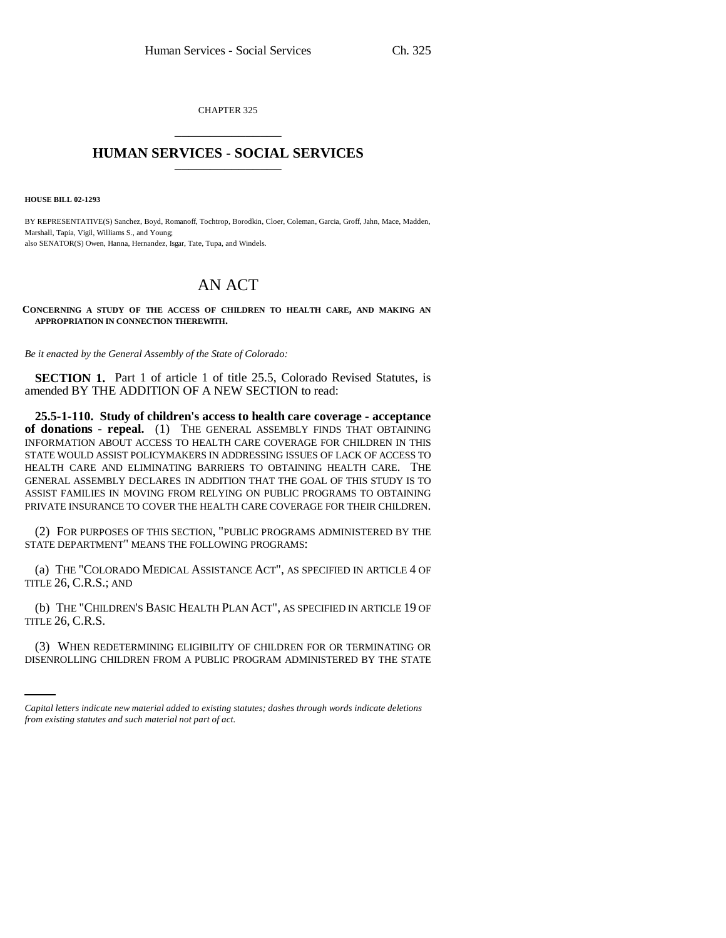CHAPTER 325 \_\_\_\_\_\_\_\_\_\_\_\_\_\_\_

## **HUMAN SERVICES - SOCIAL SERVICES** \_\_\_\_\_\_\_\_\_\_\_\_\_\_\_

**HOUSE BILL 02-1293**

BY REPRESENTATIVE(S) Sanchez, Boyd, Romanoff, Tochtrop, Borodkin, Cloer, Coleman, Garcia, Groff, Jahn, Mace, Madden, Marshall, Tapia, Vigil, Williams S., and Young; also SENATOR(S) Owen, Hanna, Hernandez, Isgar, Tate, Tupa, and Windels.

## AN ACT

**CONCERNING A STUDY OF THE ACCESS OF CHILDREN TO HEALTH CARE, AND MAKING AN APPROPRIATION IN CONNECTION THEREWITH.**

*Be it enacted by the General Assembly of the State of Colorado:*

**SECTION 1.** Part 1 of article 1 of title 25.5, Colorado Revised Statutes, is amended BY THE ADDITION OF A NEW SECTION to read:

**25.5-1-110. Study of children's access to health care coverage - acceptance of donations - repeal.** (1) THE GENERAL ASSEMBLY FINDS THAT OBTAINING INFORMATION ABOUT ACCESS TO HEALTH CARE COVERAGE FOR CHILDREN IN THIS STATE WOULD ASSIST POLICYMAKERS IN ADDRESSING ISSUES OF LACK OF ACCESS TO HEALTH CARE AND ELIMINATING BARRIERS TO OBTAINING HEALTH CARE. THE GENERAL ASSEMBLY DECLARES IN ADDITION THAT THE GOAL OF THIS STUDY IS TO ASSIST FAMILIES IN MOVING FROM RELYING ON PUBLIC PROGRAMS TO OBTAINING PRIVATE INSURANCE TO COVER THE HEALTH CARE COVERAGE FOR THEIR CHILDREN.

(2) FOR PURPOSES OF THIS SECTION, "PUBLIC PROGRAMS ADMINISTERED BY THE STATE DEPARTMENT" MEANS THE FOLLOWING PROGRAMS:

(a) THE "COLORADO MEDICAL ASSISTANCE ACT", AS SPECIFIED IN ARTICLE 4 OF TITLE 26, C.R.S.; AND

(b) THE "CHILDREN'S BASIC HEALTH PLAN ACT", AS SPECIFIED IN ARTICLE 19 OF TITLE 26, C.R.S.

(3) WHEN REDETERMINING ELIGIBILITY OF CHILDREN FOR OR TERMINATING OR DISENROLLING CHILDREN FROM A PUBLIC PROGRAM ADMINISTERED BY THE STATE

*Capital letters indicate new material added to existing statutes; dashes through words indicate deletions from existing statutes and such material not part of act.*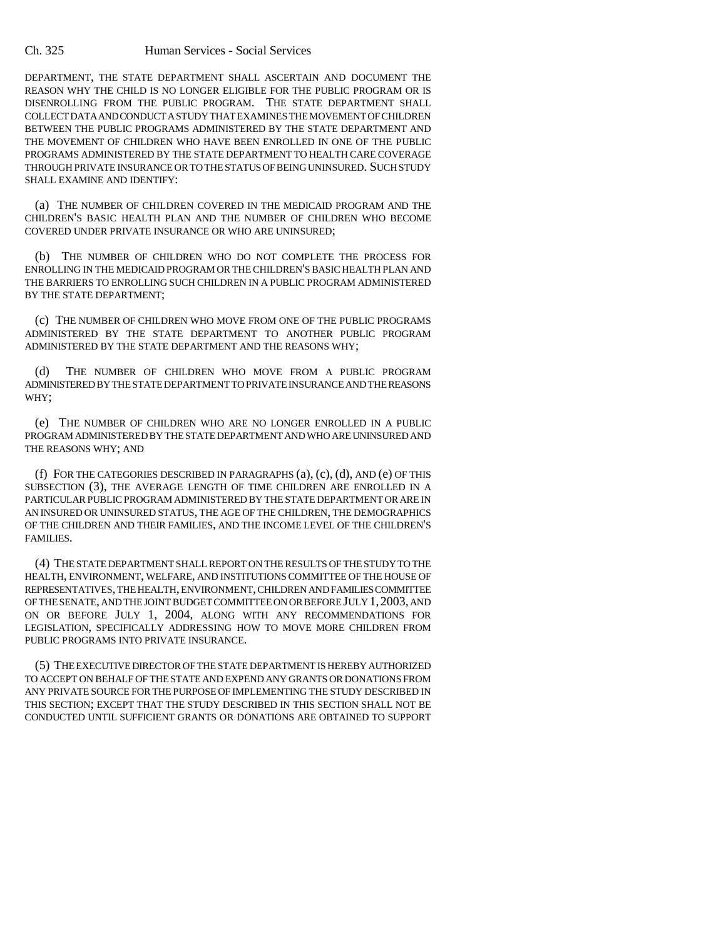## Ch. 325 Human Services - Social Services

DEPARTMENT, THE STATE DEPARTMENT SHALL ASCERTAIN AND DOCUMENT THE REASON WHY THE CHILD IS NO LONGER ELIGIBLE FOR THE PUBLIC PROGRAM OR IS DISENROLLING FROM THE PUBLIC PROGRAM. THE STATE DEPARTMENT SHALL COLLECT DATA AND CONDUCT A STUDY THAT EXAMINES THE MOVEMENT OF CHILDREN BETWEEN THE PUBLIC PROGRAMS ADMINISTERED BY THE STATE DEPARTMENT AND THE MOVEMENT OF CHILDREN WHO HAVE BEEN ENROLLED IN ONE OF THE PUBLIC PROGRAMS ADMINISTERED BY THE STATE DEPARTMENT TO HEALTH CARE COVERAGE THROUGH PRIVATE INSURANCE OR TO THE STATUS OF BEING UNINSURED. SUCH STUDY SHALL EXAMINE AND IDENTIFY:

(a) THE NUMBER OF CHILDREN COVERED IN THE MEDICAID PROGRAM AND THE CHILDREN'S BASIC HEALTH PLAN AND THE NUMBER OF CHILDREN WHO BECOME COVERED UNDER PRIVATE INSURANCE OR WHO ARE UNINSURED;

(b) THE NUMBER OF CHILDREN WHO DO NOT COMPLETE THE PROCESS FOR ENROLLING IN THE MEDICAID PROGRAM OR THE CHILDREN'S BASIC HEALTH PLAN AND THE BARRIERS TO ENROLLING SUCH CHILDREN IN A PUBLIC PROGRAM ADMINISTERED BY THE STATE DEPARTMENT;

(c) THE NUMBER OF CHILDREN WHO MOVE FROM ONE OF THE PUBLIC PROGRAMS ADMINISTERED BY THE STATE DEPARTMENT TO ANOTHER PUBLIC PROGRAM ADMINISTERED BY THE STATE DEPARTMENT AND THE REASONS WHY;

(d) THE NUMBER OF CHILDREN WHO MOVE FROM A PUBLIC PROGRAM ADMINISTERED BY THE STATE DEPARTMENT TO PRIVATE INSURANCE AND THE REASONS WHY;

(e) THE NUMBER OF CHILDREN WHO ARE NO LONGER ENROLLED IN A PUBLIC PROGRAM ADMINISTERED BY THE STATE DEPARTMENT AND WHO ARE UNINSURED AND THE REASONS WHY; AND

(f) FOR THE CATEGORIES DESCRIBED IN PARAGRAPHS (a), (c), (d), AND (e) OF THIS SUBSECTION (3), THE AVERAGE LENGTH OF TIME CHILDREN ARE ENROLLED IN A PARTICULAR PUBLIC PROGRAM ADMINISTERED BY THE STATE DEPARTMENT OR ARE IN AN INSURED OR UNINSURED STATUS, THE AGE OF THE CHILDREN, THE DEMOGRAPHICS OF THE CHILDREN AND THEIR FAMILIES, AND THE INCOME LEVEL OF THE CHILDREN'S FAMILIES.

(4) THE STATE DEPARTMENT SHALL REPORT ON THE RESULTS OF THE STUDY TO THE HEALTH, ENVIRONMENT, WELFARE, AND INSTITUTIONS COMMITTEE OF THE HOUSE OF REPRESENTATIVES, THE HEALTH, ENVIRONMENT, CHILDREN AND FAMILIES COMMITTEE OF THE SENATE, AND THE JOINT BUDGET COMMITTEE ON OR BEFORE JULY 1,2003, AND ON OR BEFORE JULY 1, 2004, ALONG WITH ANY RECOMMENDATIONS FOR LEGISLATION, SPECIFICALLY ADDRESSING HOW TO MOVE MORE CHILDREN FROM PUBLIC PROGRAMS INTO PRIVATE INSURANCE.

(5) THE EXECUTIVE DIRECTOR OF THE STATE DEPARTMENT IS HEREBY AUTHORIZED TO ACCEPT ON BEHALF OF THE STATE AND EXPEND ANY GRANTS OR DONATIONS FROM ANY PRIVATE SOURCE FOR THE PURPOSE OF IMPLEMENTING THE STUDY DESCRIBED IN THIS SECTION; EXCEPT THAT THE STUDY DESCRIBED IN THIS SECTION SHALL NOT BE CONDUCTED UNTIL SUFFICIENT GRANTS OR DONATIONS ARE OBTAINED TO SUPPORT